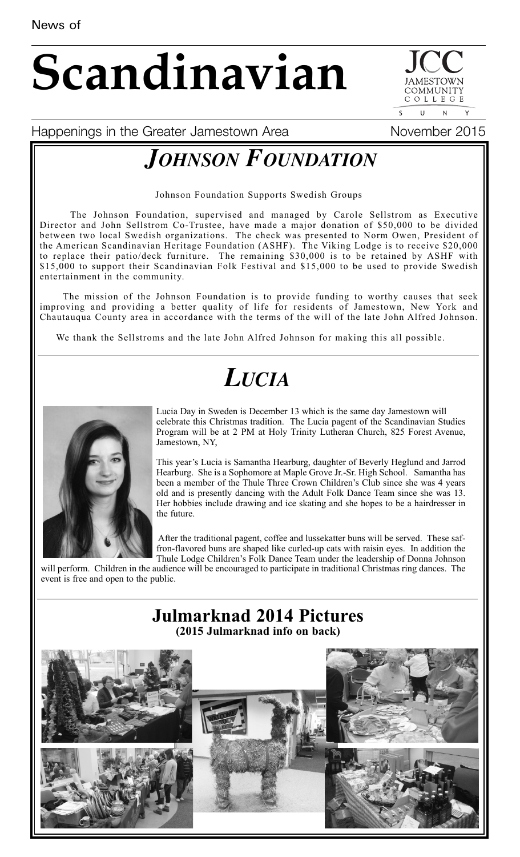# **Scandinavian**

COMMUNIT COLLEGE  $\mathbf{U}$ 

Happenings in the Greater Jamestown Area Movember 2015

## *JOHNSON FOUNDATION*

Johnson Foundation Supports Swedish Groups

The Johnson Foundation, supervised and managed by Carole Sellstrom as Executive Director and John Sellstrom Co-Trustee, have made a major donation of \$50,000 to be divided between two local Swedish organizations. The check was presented to Norm Owen, President of the American Scandinavian Heritage Foundation (ASHF). The Viking Lodge is to receive \$20,000 to replace their patio/deck furniture. The remaining \$30,000 is to be retained by ASHF with \$15,000 to support their Scandinavian Folk Festival and \$15,000 to be used to provide Swedish entertainment in the community.

The mission of the Johnson Foundation is to provide funding to worthy causes that seek improving and providing a better quality of life for residents of Jamestown, New York and Chautauqua County area in accordance with the terms of the will of the late John Alfred Johnson.

We thank the Sellstroms and the late John Alfred Johnson for making this all possible.

## *LUCIA*



Lucia Day in Sweden is December 13 which is the same day Jamestown will celebrate this Christmas tradition. The Lucia pagent of the Scandinavian Studies Program will be at 2 PM at Holy Trinity Lutheran Church, 825 Forest Avenue, Jamestown, NY,

This year's Lucia is Samantha Hearburg, daughter of Beverly Heglund and Jarrod Hearburg. She is a Sophomore at Maple Grove Jr.-Sr. High School. Samantha has been a member of the Thule Three Crown Children's Club since she was 4 years old and is presently dancing with the Adult Folk Dance Team since she was 13. Her hobbies include drawing and ice skating and she hopes to be a hairdresser in the future.

After the traditional pagent, coffee and lussekatter buns will be served. These saffron-flavored buns are shaped like curled-up cats with raisin eyes. In addition the Thule Lodge Children's Folk Dance Team under the leadership of Donna Johnson

will perform. Children in the audience will be encouraged to participate in traditional Christmas ring dances. The event is free and open to the public.

### **Julmarknad 2014 Pictures (2015 Julmarknad info on back)**